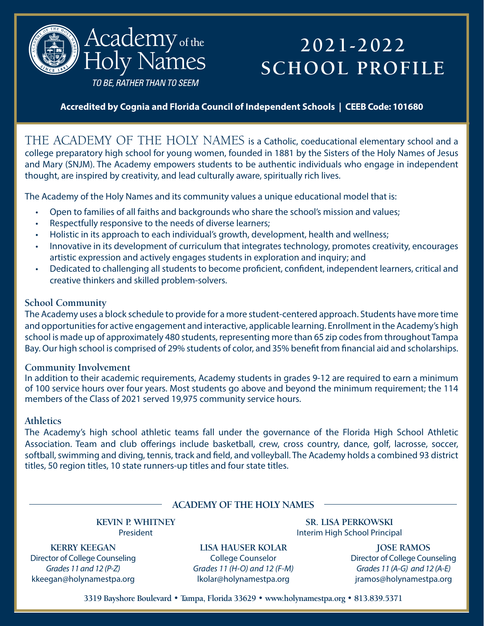

# **2021-2022 SCHOOL PROFILE**

TO BE, RATHER THAN TO SEEM

**Accredited by Cognia and Florida Council of Independent Schools | CEEB Code: 101680**

THE ACADEMY OF THE HOLY NAMES is a Catholic, coeducational elementary school and a college preparatory high school for young women, founded in 1881 by the Sisters of the Holy Names of Jesus and Mary (SNJM). The Academy empowers students to be authentic individuals who engage in independent thought, are inspired by creativity, and lead culturally aware, spiritually rich lives.

The Academy of the Holy Names and its community values a unique educational model that is:

- Open to families of all faiths and backgrounds who share the school's mission and values;
- Respectfully responsive to the needs of diverse learners;
- Holistic in its approach to each individual's growth, development, health and wellness;
- Innovative in its development of curriculum that integrates technology, promotes creativity, encourages artistic expression and actively engages students in exploration and inquiry; and
- Dedicated to challenging all students to become proficient, confident, independent learners, critical and creative thinkers and skilled problem-solvers.

### **School Community**

The Academy uses a block schedule to provide for a more student-centered approach. Students have more time and opportunities for active engagement and interactive, applicable learning. Enrollment in the Academy's high school is made up of approximately 480 students, representing more than 65 zip codes from throughout Tampa Bay. Our high school is comprised of 29% students of color, and 35% benefit from financial aid and scholarships.

### **Community Involvement**

In addition to their academic requirements, Academy students in grades 9-12 are required to earn a minimum of 100 service hours over four years. Most students go above and beyond the minimum requirement; the 114 members of the Class of 2021 served 19,975 community service hours.

### **Athletics**

The Academy's high school athletic teams fall under the governance of the Florida High School Athletic Association. Team and club offerings include basketball, crew, cross country, dance, golf, lacrosse, soccer, softball, swimming and diving, tennis, track and field, and volleyball. The Academy holds a combined 93 district titles, 50 region titles, 10 state runners-up titles and four state titles.

### **ACADEMY OF THE HOLY NAMES**

**KEVIN P. WHITNEY** President

**KERRY KEEGAN** Director of College Counseling *Grades 11 and 12 (P-Z)* kkeegan@holynamestpa.org

**LISA HAUSER KOLAR** College Counselor *Grades 11 (H-O) and 12 (F-M)* lkolar@holynamestpa.org

**SR. LISA PERKOWSKI**  Interim High School Principal

> **JOSE RAMOS** Director of College Counseling *Grades 11 (A-G) and 12 (A-E)* jramos@holynamestpa.org

**3319 Bayshore Boulevard • Tampa, Florida 33629 • www.holynamestpa.org • 813.839.5371**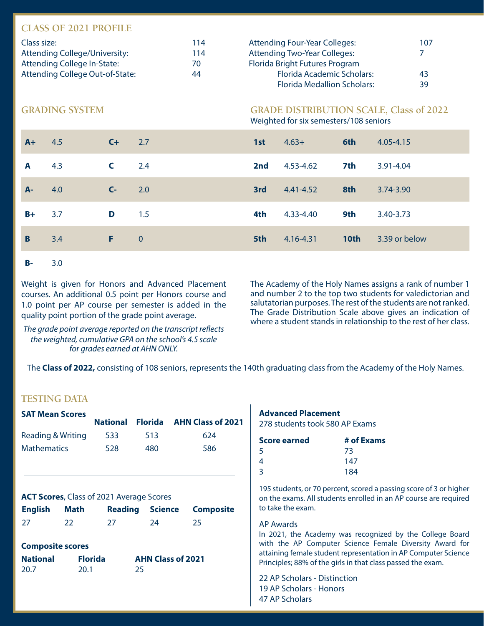# **CLASS OF 2021 PROFILE**

| Class size:                     | 114 | <b>Attending Four-Year Colleges:</b> | 107 |
|---------------------------------|-----|--------------------------------------|-----|
| Attending College/University:   | 114 | <b>Attending Two-Year Colleges:</b>  |     |
| Attending College In-State:     | 70  | Florida Bright Futures Program       |     |
| Attending College Out-of-State: | 44  | <b>Florida Academic Scholars:</b>    | 43  |
|                                 |     | <b>Florida Medallion Scholars:</b>   | 39  |

#### **GRADING SYSTEM GRADE DISTRIBUTION SCALE, Class of 2022**

Weighted for six semesters/108 seniors

| $A+$  | 4.5 | $C+$ 2.7       |                | 1st | $4.63+$       | 6th              | $4.05 - 4.15$ |
|-------|-----|----------------|----------------|-----|---------------|------------------|---------------|
| A     | 4.3 | $C = 2.4$      |                | 2nd | 4.53-4.62     | 7th              | 3.91-4.04     |
| $A -$ | 4.0 | C <sub>2</sub> | 2.0            | 3rd | $4.41 - 4.52$ | 8th              | 3.74-3.90     |
| $B+$  | 3.7 | D              | 1.5            | 4th | 4.33-4.40     | 9th              | 3.40-3.73     |
| B     | 3.4 | F.             | $\overline{0}$ | 5th | 4.16-4.31     | 10 <sub>th</sub> | 3.39 or below |
|       |     |                |                |     |               |                  |               |

#### **B-** 3.0

Weight is given for Honors and Advanced Placement courses. An additional 0.5 point per Honors course and 1.0 point per AP course per semester is added in the quality point portion of the grade point average.

*The grade point average reported on the transcript reflects the weighted, cumulative GPA on the school's 4.5 scale for grades earned at AHN ONLY.*

The Academy of the Holy Names assigns a rank of number 1 and number 2 to the top two students for valedictorian and salutatorian purposes. The rest of the students are not ranked. The Grade Distribution Scale above gives an indication of where a student stands in relationship to the rest of her class.

The **Class of 2022,** consisting of 108 seniors, represents the 140th graduating class from the Academy of the Holy Names.

#### **TESTING DATA**

j

| <b>SAT Mean Scores</b> |     |     |                                           |
|------------------------|-----|-----|-------------------------------------------|
|                        |     |     | <b>National Florida AHN Class of 2021</b> |
| Reading & Writing      | 533 | 513 | 624                                       |
| <b>Mathematics</b>     | 528 | 480 | 586                                       |

#### **ACT Scores**, Class of 2021 Average Scores

| <b>English</b> Math |    |      |     | <b>Reading Science Composite</b> |
|---------------------|----|------|-----|----------------------------------|
| 27                  | 22 | -27. | -24 | -25                              |

#### **Composite scores**

| <b>National</b> | <b>Florida</b> | <b>AHN Class of 2021</b> |
|-----------------|----------------|--------------------------|
| 20.7            | 20.1           | 25                       |

# **Advanced Placement**

278 students took 580 AP Exams

| <b>Score earned</b> | # of Exams |
|---------------------|------------|
| -5.                 | 73         |
| 4                   | 147        |
| 3                   | 184        |

195 students, or 70 percent, scored a passing score of 3 or higher on the exams. All students enrolled in an AP course are required to take the exam.

#### AP Awards

In 2021, the Academy was recognized by the College Board with the AP Computer Science Female Diversity Award for attaining female student representation in AP Computer Science Principles; 88% of the girls in that class passed the exam.

22 AP Scholars - Distinction 19 AP Scholars - Honors 47 AP Scholars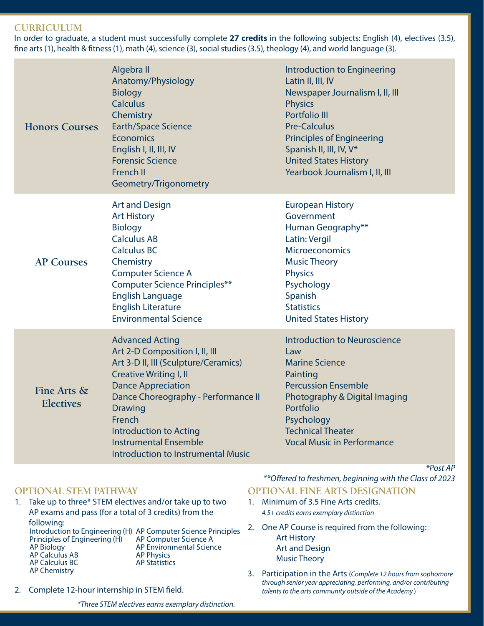#### **CURRICULUM**

In order to graduate, a student must successfully complete **27 credits** in the following subjects: English (4), electives (3.5), fine arts (1), health & fitness (1), math (4), science (3), social studies (3.5), theology (4), and world language (3).

| <b>Honors Courses</b>           | Algebra II<br>Anatomy/Physiology<br><b>Biology</b><br><b>Calculus</b><br>Chemistry<br><b>Earth/Space Science</b><br><b>Economics</b><br>English I, II, III, IV<br><b>Forensic Science</b><br>French II<br>Geometry/Trigonometry                                                                                                                 | Introduction to Engineering<br>Latin II, III, IV<br>Newspaper Journalism I, II, III<br><b>Physics</b><br><b>Portfolio III</b><br><b>Pre-Calculus</b><br><b>Principles of Engineering</b><br>Spanish II, III, IV, V*<br><b>United States History</b><br>Yearbook Journalism I, II, III |
|---------------------------------|-------------------------------------------------------------------------------------------------------------------------------------------------------------------------------------------------------------------------------------------------------------------------------------------------------------------------------------------------|---------------------------------------------------------------------------------------------------------------------------------------------------------------------------------------------------------------------------------------------------------------------------------------|
| <b>AP Courses</b>               | <b>Art and Design</b><br><b>Art History</b><br><b>Biology</b><br><b>Calculus AB</b><br><b>Calculus BC</b><br>Chemistry<br><b>Computer Science A</b><br><b>Computer Science Principles**</b><br><b>English Language</b><br><b>English Literature</b><br><b>Environmental Science</b>                                                             | <b>European History</b><br>Government<br>Human Geography**<br>Latin: Vergil<br><b>Microeconomics</b><br><b>Music Theory</b><br><b>Physics</b><br>Psychology<br>Spanish<br><b>Statistics</b><br><b>United States History</b>                                                           |
| Fine Arts &<br><b>Electives</b> | <b>Advanced Acting</b><br>Art 2-D Composition I, II, III<br>Art 3-D II, III (Sculpture/Ceramics)<br><b>Creative Writing I, II</b><br><b>Dance Appreciation</b><br>Dance Choreography - Performance II<br><b>Drawing</b><br>French<br><b>Introduction to Acting</b><br><b>Instrumental Ensemble</b><br><b>Introduction to Instrumental Music</b> | <b>Introduction to Neuroscience</b><br>Law<br><b>Marine Science</b><br>Painting<br><b>Percussion Ensemble</b><br>Photography & Digital Imaging<br>Portfolio<br>Psychology<br><b>Technical Theater</b><br><b>Vocal Music in Performance</b>                                            |

# **OPTIONAL STEM PATHWAY**

- 1. Take up to three\* STEM electives and/or take up to two AP exams and pass (for a total of 3 credits) from the following: Introduction to Engineering (H) AP Computer Science Principles Principles of Engineering (H) AP Biology AP Calculus AB AP Calculus BC AP Chemistry AP Computer Science A AP Environmental Science AP Physics AP Statistics
- 2. Complete 12-hour internship in STEM field.

*\*Three STEM electives earns exemplary distinction.*

### *\*\*Offered to freshmen, beginning with the Class of 2023* **OPTIONAL FINE ARTS DESIGNATION**

*\*Post AP*

- 1. Minimum of 3.5 Fine Arts credits. *4.5+ credits earns exemplary distinction*
- 2. One AP Course is required from the following: Art History Art and Design Music Theory
- 3. Participation in the Arts (*Complete 12 hours from sophomore through senior year appreciating, performing, and/or contributing talents to the arts community outside of the Academy.*)